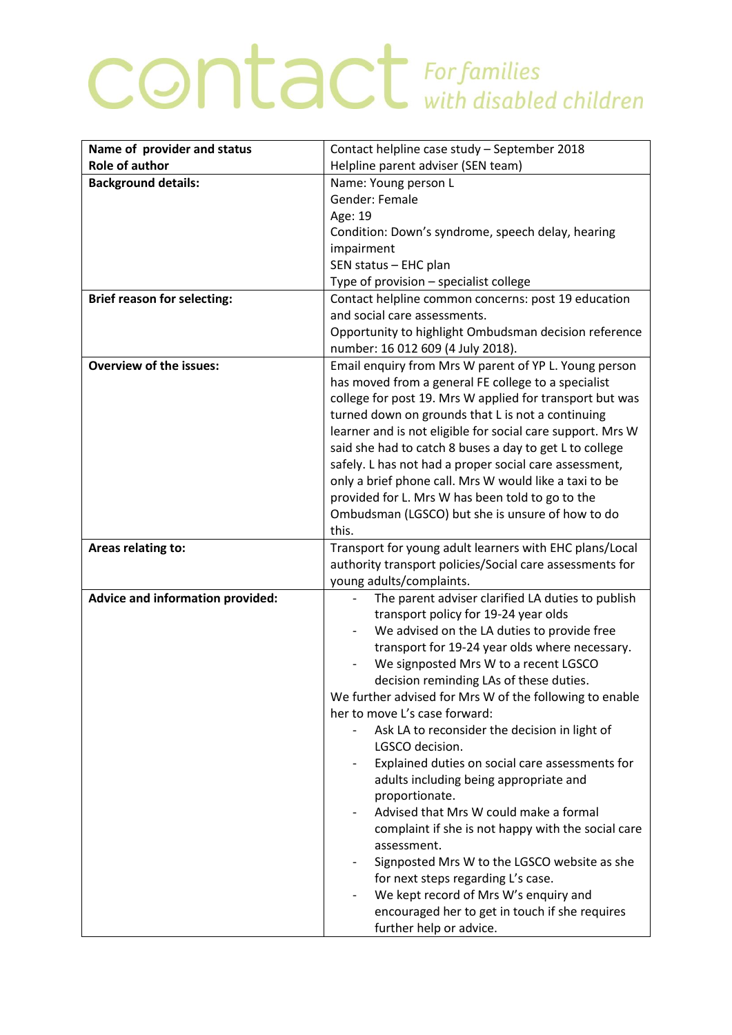## COntact For families

| Name of provider and status             | Contact helpline case study - September 2018                                            |
|-----------------------------------------|-----------------------------------------------------------------------------------------|
| <b>Role of author</b>                   | Helpline parent adviser (SEN team)                                                      |
| <b>Background details:</b>              | Name: Young person L                                                                    |
|                                         | Gender: Female                                                                          |
|                                         | Age: 19                                                                                 |
|                                         | Condition: Down's syndrome, speech delay, hearing                                       |
|                                         | impairment                                                                              |
|                                         | SEN status - EHC plan                                                                   |
|                                         | Type of provision - specialist college                                                  |
| <b>Brief reason for selecting:</b>      | Contact helpline common concerns: post 19 education                                     |
|                                         | and social care assessments.                                                            |
|                                         | Opportunity to highlight Ombudsman decision reference                                   |
|                                         | number: 16 012 609 (4 July 2018).                                                       |
| <b>Overview of the issues:</b>          | Email enquiry from Mrs W parent of YP L. Young person                                   |
|                                         | has moved from a general FE college to a specialist                                     |
|                                         | college for post 19. Mrs W applied for transport but was                                |
|                                         | turned down on grounds that L is not a continuing                                       |
|                                         | learner and is not eligible for social care support. Mrs W                              |
|                                         | said she had to catch 8 buses a day to get L to college                                 |
|                                         | safely. L has not had a proper social care assessment,                                  |
|                                         | only a brief phone call. Mrs W would like a taxi to be                                  |
|                                         | provided for L. Mrs W has been told to go to the                                        |
|                                         | Ombudsman (LGSCO) but she is unsure of how to do                                        |
|                                         | this.                                                                                   |
|                                         |                                                                                         |
| Areas relating to:                      | Transport for young adult learners with EHC plans/Local                                 |
|                                         | authority transport policies/Social care assessments for                                |
|                                         | young adults/complaints.                                                                |
| <b>Advice and information provided:</b> | The parent adviser clarified LA duties to publish                                       |
|                                         | transport policy for 19-24 year olds                                                    |
|                                         | We advised on the LA duties to provide free                                             |
|                                         | transport for 19-24 year olds where necessary.                                          |
|                                         | We signposted Mrs W to a recent LGSCO                                                   |
|                                         | decision reminding LAs of these duties.                                                 |
|                                         | We further advised for Mrs W of the following to enable                                 |
|                                         | her to move L's case forward:                                                           |
|                                         | Ask LA to reconsider the decision in light of                                           |
|                                         | LGSCO decision.                                                                         |
|                                         | Explained duties on social care assessments for                                         |
|                                         | adults including being appropriate and                                                  |
|                                         | proportionate.                                                                          |
|                                         | Advised that Mrs W could make a formal                                                  |
|                                         | complaint if she is not happy with the social care                                      |
|                                         | assessment.                                                                             |
|                                         | Signposted Mrs W to the LGSCO website as she                                            |
|                                         | for next steps regarding L's case.                                                      |
|                                         | We kept record of Mrs W's enquiry and<br>encouraged her to get in touch if she requires |